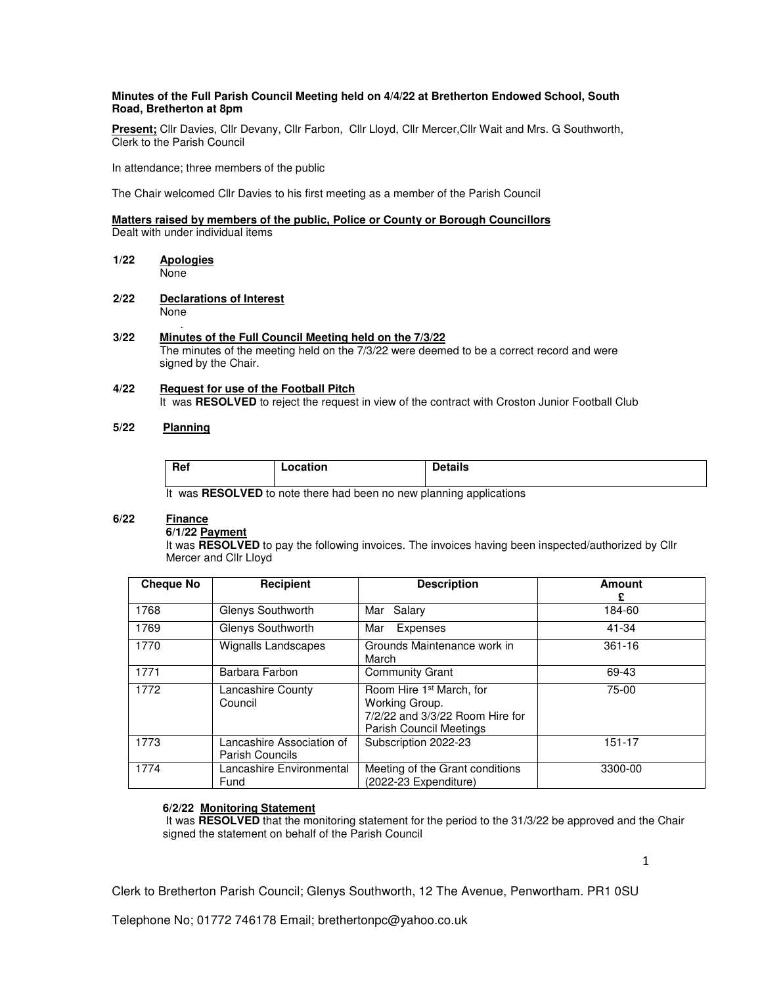### **Minutes of the Full Parish Council Meeting held on 4/4/22 at Bretherton Endowed School, South Road, Bretherton at 8pm**

**Present;** Cllr Davies, Cllr Devany, Cllr Farbon, Cllr Lloyd, Cllr Mercer,Cllr Wait and Mrs. G Southworth, Clerk to the Parish Council

In attendance; three members of the public

The Chair welcomed Cllr Davies to his first meeting as a member of the Parish Council

# **Matters raised by members of the public, Police or County or Borough Councillors**

Dealt with under individual items

- **1/22 Apologies**  None
- **2/22 Declarations of Interest**  None

#### . **3/22 Minutes of the Full Council Meeting held on the 7/3/22**

 The minutes of the meeting held on the 7/3/22 were deemed to be a correct record and were signed by the Chair.

#### **4/22 Request for use of the Football Pitch**  It was **RESOLVED** to reject the request in view of the contract with Croston Junior Football Club

## **5/22 Planning**

| Ref<br>-------<br>ition | Details |
|-------------------------|---------|
|-------------------------|---------|

It was **RESOLVED** to note there had been no new planning applications

#### **6/22 Finance**

#### **6/1/22 Payment**

It was **RESOLVED** to pay the following invoices. The invoices having been inspected/authorized by Cllr Mercer and Cllr Lloyd

| <b>Cheque No</b> | Recipient                                           | <b>Description</b>                                                                                                          | Amount<br>£ |
|------------------|-----------------------------------------------------|-----------------------------------------------------------------------------------------------------------------------------|-------------|
| 1768             | Glenys Southworth                                   | Mar Salary                                                                                                                  | 184-60      |
| 1769             | Glenys Southworth                                   | Mar<br>Expenses                                                                                                             | 41-34       |
| 1770             | Wignalls Landscapes                                 | Grounds Maintenance work in<br>March                                                                                        | $361 - 16$  |
| 1771             | Barbara Farbon                                      | <b>Community Grant</b>                                                                                                      | 69-43       |
| 1772             | Lancashire County<br>Council                        | Room Hire 1 <sup>st</sup> March, for<br>Working Group.<br>7/2/22 and 3/3/22 Room Hire for<br><b>Parish Council Meetings</b> | $75-00$     |
| 1773             | Lancashire Association of<br><b>Parish Councils</b> | Subscription 2022-23                                                                                                        | 151-17      |
| 1774             | Lancashire Environmental<br>Fund                    | Meeting of the Grant conditions<br>(2022-23 Expenditure)                                                                    | 3300-00     |

#### **6/2/22 Monitoring Statement**

 It was **RESOLVED** that the monitoring statement for the period to the 31/3/22 be approved and the Chair signed the statement on behalf of the Parish Council

Clerk to Bretherton Parish Council; Glenys Southworth, 12 The Avenue, Penwortham. PR1 0SU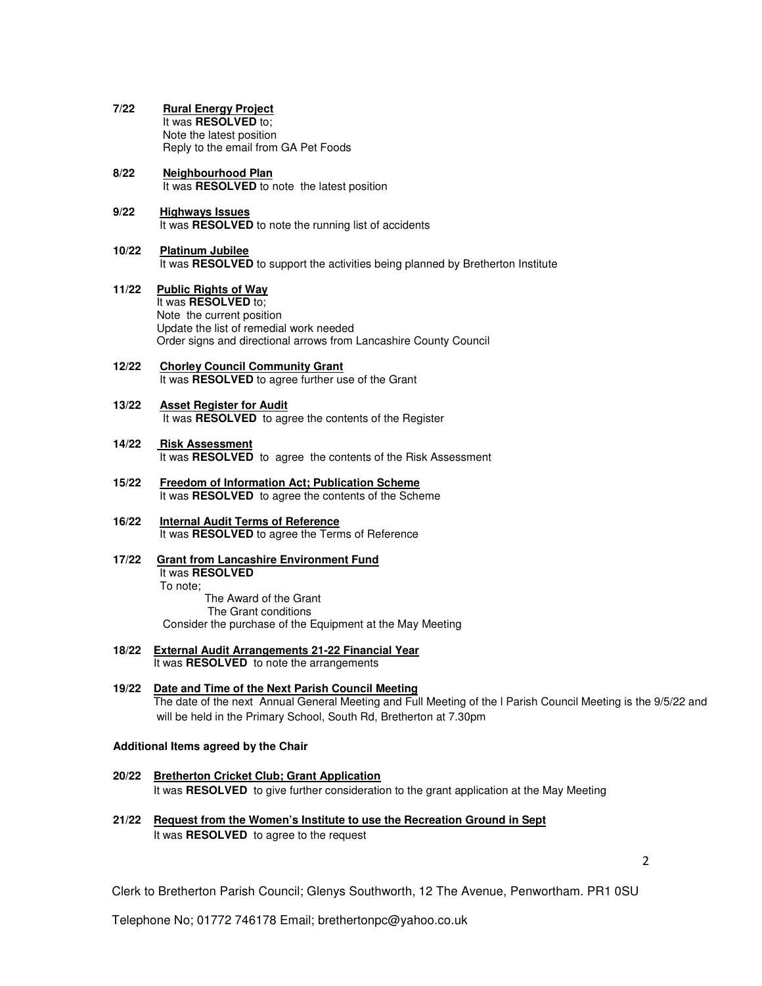- **7/22 Rural Energy Project** It was **RESOLVED** to; Note the latest position Reply to the email from GA Pet Foods
- **8/22 Neighbourhood Plan** It was **RESOLVED** to note the latest position
- **9/22 Highways Issues** It was **RESOLVED** to note the running list of accidents
- **10/22 Platinum Jubilee**  It was **RESOLVED** to support the activities being planned by Bretherton Institute
- **11/22 Public Rights of Way**  It was **RESOLVED** to; Note the current position Update the list of remedial work needed Order signs and directional arrows from Lancashire County Council
- **12/22 Chorley Council Community Grant** It was **RESOLVED** to agree further use of the Grant
- **13/22 Asset Register for Audit** It was **RESOLVED** to agree the contents of the Register
- **14/22 Risk Assessment** It was **RESOLVED** to agree the contents of the Risk Assessment
- **15/22 Freedom of Information Act; Publication Scheme**  It was **RESOLVED** to agree the contents of the Scheme
- **16/22 Internal Audit Terms of Reference** It was **RESOLVED** to agree the Terms of Reference
- **17/22 Grant from Lancashire Environment Fund**  It was **RESOLVED**  To note; The Award of the Grant The Grant conditions

Consider the purchase of the Equipment at the May Meeting

- **18/22 External Audit Arrangements 21-22 Financial Year** It was **RESOLVED** to note the arrangements
- **19/22 Date and Time of the Next Parish Council Meeting** The date of the next Annual General Meeting and Full Meeting of the l Parish Council Meeting is the 9/5/22 and will be held in the Primary School, South Rd, Bretherton at 7.30pm

#### **Additional Items agreed by the Chair**

- **20/22 Bretherton Cricket Club; Grant Application** It was **RESOLVED** to give further consideration to the grant application at the May Meeting
- **21/22 Request from the Women's Institute to use the Recreation Ground in Sept** It was **RESOLVED** to agree to the request

2

Clerk to Bretherton Parish Council; Glenys Southworth, 12 The Avenue, Penwortham. PR1 0SU

Telephone No; 01772 746178 Email; brethertonpc@yahoo.co.uk